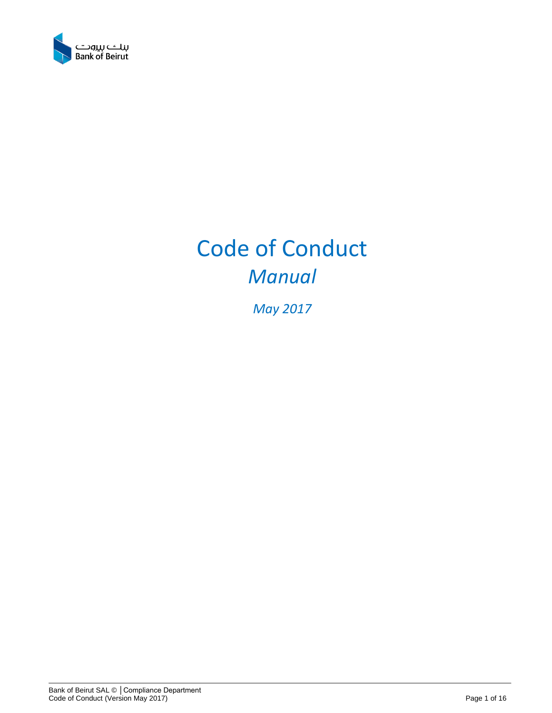

# Code of Conduct *Manual*

*May 2017*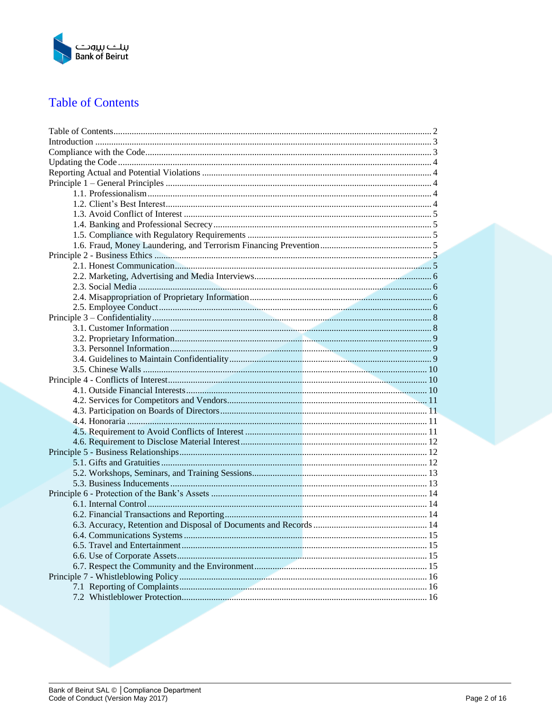

# <span id="page-1-0"></span>**Table of Contents**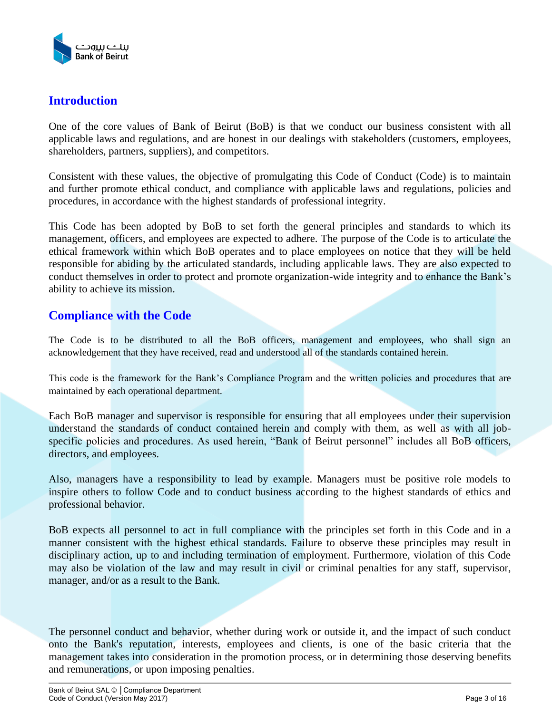

# <span id="page-2-0"></span>**Introduction**

One of the core values of Bank of Beirut (BoB) is that we conduct our business consistent with all applicable laws and regulations, and are honest in our dealings with stakeholders (customers, employees, shareholders, partners, suppliers), and competitors.

Consistent with these values, the objective of promulgating this Code of Conduct (Code) is to maintain and further promote ethical conduct, and compliance with applicable laws and regulations, policies and procedures, in accordance with the highest standards of professional integrity.

This Code has been adopted by BoB to set forth the general principles and standards to which its management, officers, and employees are expected to adhere. The purpose of the Code is to articulate the ethical framework within which BoB operates and to place employees on notice that they will be held responsible for abiding by the articulated standards, including applicable laws. They are also expected to conduct themselves in order to protect and promote organization-wide integrity and to enhance the Bank's ability to achieve its mission.

# <span id="page-2-1"></span>**Compliance with the Code**

The Code is to be distributed to all the BoB officers, management and employees, who shall sign an acknowledgement that they have received, read and understood all of the standards contained herein.

This code is the framework for the Bank's Compliance Program and the written policies and procedures that are maintained by each operational department.

Each BoB manager and supervisor is responsible for ensuring that all employees under their supervision understand the standards of conduct contained herein and comply with them, as well as with all jobspecific policies and procedures. As used herein, "Bank of Beirut personnel" includes all BoB officers, directors, and employees.

Also, managers have a responsibility to lead by example. Managers must be positive role models to inspire others to follow Code and to conduct business according to the highest standards of ethics and professional behavior.

BoB expects all personnel to act in full compliance with the principles set forth in this Code and in a manner consistent with the highest ethical standards. Failure to observe these principles may result in disciplinary action, up to and including termination of employment. Furthermore, violation of this Code may also be violation of the law and may result in civil or criminal penalties for any staff, supervisor, manager, and/or as a result to the Bank.

The personnel conduct and behavior, whether during work or outside it, and the impact of such conduct onto the Bank's reputation, interests, employees and clients, is one of the basic criteria that the management takes into consideration in the promotion process, or in determining those deserving benefits and remunerations, or upon imposing penalties.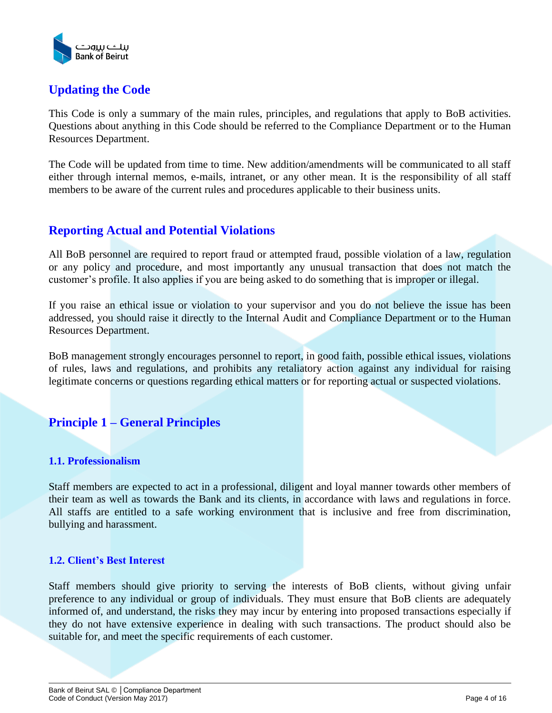

# <span id="page-3-0"></span>**Updating the Code**

This Code is only a summary of the main rules, principles, and regulations that apply to BoB activities. Questions about anything in this Code should be referred to the Compliance Department or to the Human Resources Department.

The Code will be updated from time to time. New addition/amendments will be communicated to all staff either through internal memos, e-mails, intranet, or any other mean. It is the responsibility of all staff members to be aware of the current rules and procedures applicable to their business units.

# <span id="page-3-1"></span>**Reporting Actual and Potential Violations**

All BoB personnel are required to report fraud or attempted fraud, possible violation of a law, regulation or any policy and procedure, and most importantly any unusual transaction that does not match the customer's profile. It also applies if you are being asked to do something that is improper or illegal.

If you raise an ethical issue or violation to your supervisor and you do not believe the issue has been addressed, you should raise it directly to the Internal Audit and Compliance Department or to the Human Resources Department.

BoB management strongly encourages personnel to report, in good faith, possible ethical issues, violations of rules, laws and regulations, and prohibits any retaliatory action against any individual for raising legitimate concerns or questions regarding ethical matters or for reporting actual or suspected violations.

# <span id="page-3-2"></span>**Principle 1 – General Principles**

# <span id="page-3-3"></span>**1.1. Professionalism**

Staff members are expected to act in a professional, diligent and loyal manner towards other members of their team as well as towards the Bank and its clients, in accordance with laws and regulations in force. All staffs are entitled to a safe working environment that is inclusive and free from discrimination, bullying and harassment.

## <span id="page-3-4"></span>**1.2. Client's Best Interest**

Staff members should give priority to serving the interests of BoB clients, without giving unfair preference to any individual or group of individuals. They must ensure that BoB clients are adequately informed of, and understand, the risks they may incur by entering into proposed transactions especially if they do not have extensive experience in dealing with such transactions. The product should also be suitable for, and meet the specific requirements of each customer.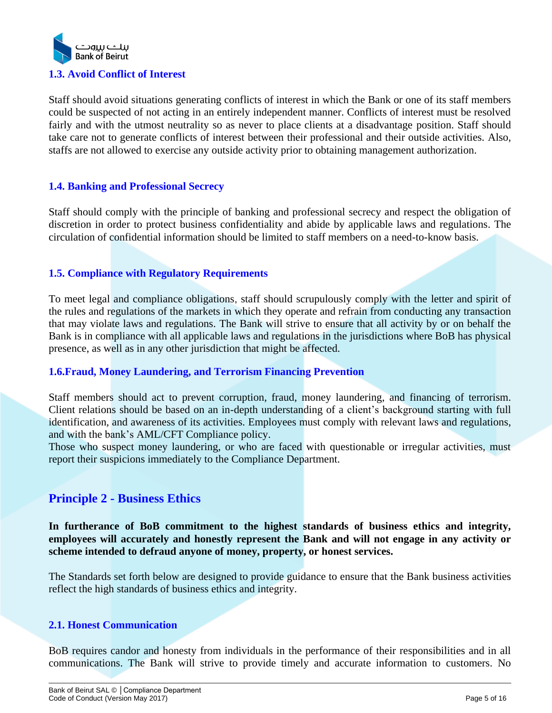

<span id="page-4-0"></span>Staff should avoid situations generating conflicts of interest in which the Bank or one of its staff members could be suspected of not acting in an entirely independent manner. Conflicts of interest must be resolved fairly and with the utmost neutrality so as never to place clients at a disadvantage position. Staff should take care not to generate conflicts of interest between their professional and their outside activities. Also, staffs are not allowed to exercise any outside activity prior to obtaining management authorization.

# <span id="page-4-1"></span>**1.4. Banking and Professional Secrecy**

Staff should comply with the principle of banking and professional secrecy and respect the obligation of discretion in order to protect business confidentiality and abide by applicable laws and regulations. The circulation of confidential information should be limited to staff members on a need-to-know basis.

## <span id="page-4-2"></span>**1.5. Compliance with Regulatory Requirements**

To meet legal and compliance obligations, staff should scrupulously comply with the letter and spirit of the rules and regulations of the markets in which they operate and refrain from conducting any transaction that may violate laws and regulations. The Bank will strive to ensure that all activity by or on behalf the Bank is in compliance with all applicable laws and regulations in the jurisdictions where BoB has physical presence, as well as in any other jurisdiction that might be affected.

## <span id="page-4-3"></span>**1.6.Fraud, Money Laundering, and Terrorism Financing Prevention**

Staff members should act to prevent corruption, fraud, money laundering, and financing of terrorism. Client relations should be based on an in-depth understanding of a client's background starting with full identification, and awareness of its activities. Employees must comply with relevant laws and regulations, and with the bank's AML/CFT Compliance policy.

Those who suspect money laundering, or who are faced with questionable or irregular activities, must report their suspicions immediately to the Compliance Department.

# <span id="page-4-4"></span>**Principle 2 - Business Ethics**

**In furtherance of BoB commitment to the highest standards of business ethics and integrity, employees will accurately and honestly represent the Bank and will not engage in any activity or scheme intended to defraud anyone of money, property, or honest services.**

The Standards set forth below are designed to provide guidance to ensure that the Bank business activities reflect the high standards of business ethics and integrity.

# <span id="page-4-5"></span>**2.1. Honest Communication**

BoB requires candor and honesty from individuals in the performance of their responsibilities and in all communications. The Bank will strive to provide timely and accurate information to customers. No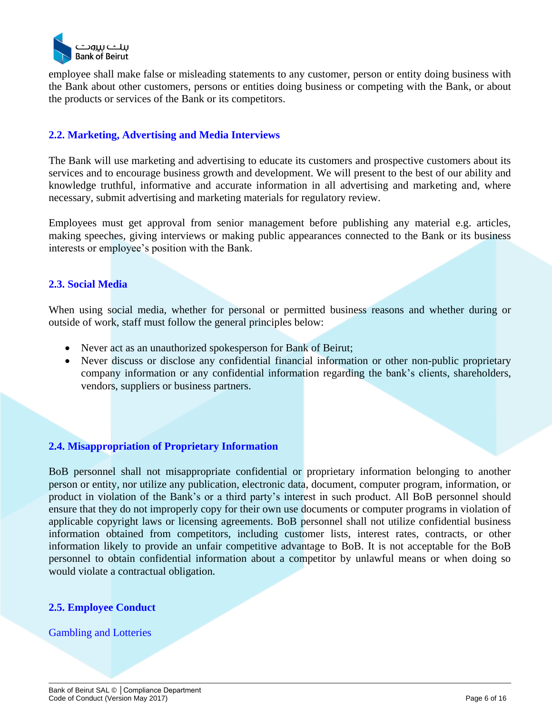

employee shall make false or misleading statements to any customer, person or entity doing business with the Bank about other customers, persons or entities doing business or competing with the Bank, or about the products or services of the Bank or its competitors.

# <span id="page-5-0"></span>**2.2. Marketing, Advertising and Media Interviews**

The Bank will use marketing and advertising to educate its customers and prospective customers about its services and to encourage business growth and development. We will present to the best of our ability and knowledge truthful, informative and accurate information in all advertising and marketing and, where necessary, submit advertising and marketing materials for regulatory review.

Employees must get approval from senior management before publishing any material e.g. articles, making speeches, giving interviews or making public appearances connected to the Bank or its business interests or employee's position with the Bank.

# <span id="page-5-1"></span>**2.3. Social Media**

When using social media, whether for personal or permitted business reasons and whether during or outside of work, staff must follow the general principles below:

- Never act as an unauthorized spokesperson for Bank of Beirut;
- Never discuss or disclose any confidential financial information or other non-public proprietary company information or any confidential information regarding the bank's clients, shareholders, vendors, suppliers or business partners.

## <span id="page-5-2"></span>**2.4. Misappropriation of Proprietary Information**

BoB personnel shall not misappropriate confidential or proprietary information belonging to another person or entity, nor utilize any publication, electronic data, document, computer program, information, or product in violation of the Bank's or a third party's interest in such product. All BoB personnel should ensure that they do not improperly copy for their own use documents or computer programs in violation of applicable copyright laws or licensing agreements. BoB personnel shall not utilize confidential business information obtained from competitors, including customer lists, interest rates, contracts, or other information likely to provide an unfair competitive advantage to BoB. It is not acceptable for the BoB personnel to obtain confidential information about a competitor by unlawful means or when doing so would violate a contractual obligation.

## <span id="page-5-3"></span>**2.5. Employee Conduct**

#### Gambling and Lotteries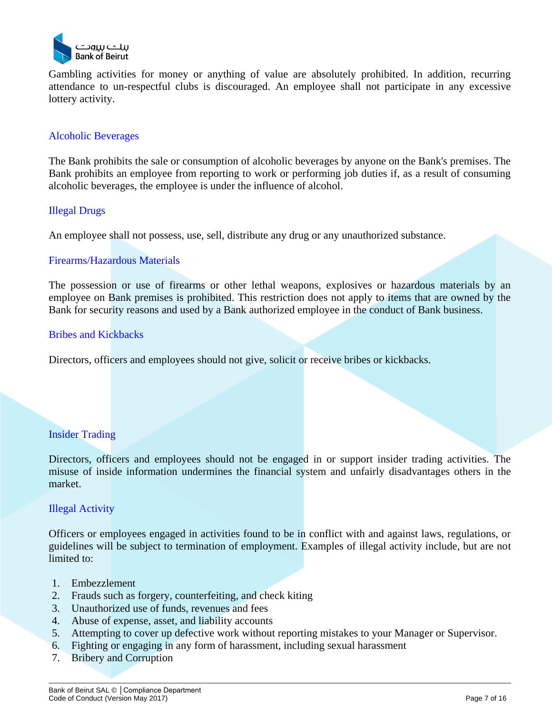

Gambling activities for money or anything of value are absolutely prohibited. In addition, recurring attendance to un-respectful clubs is discouraged. An employee shall not participate in any excessive lottery activity.

## Alcoholic Beverages

The Bank prohibits the sale or consumption of alcoholic beverages by anyone on the Bank's premises. The Bank prohibits an employee from reporting to work or performing job duties if, as a result of consuming alcoholic beverages, the employee is under the influence of alcohol.

## Illegal Drugs

An employee shall not possess, use, sell, distribute any drug or any unauthorized substance.

## Firearms/Hazardous Materials

The possession or use of firearms or other lethal weapons, explosives or hazardous materials by an employee on Bank premises is prohibited. This restriction does not apply to items that are owned by the Bank for security reasons and used by a Bank authorized employee in the conduct of Bank business.

## Bribes and Kickbacks

Directors, officers and employees should not give, solicit or receive bribes or kickbacks.

## Insider Trading

Directors, officers and employees should not be engaged in or support insider trading activities. The misuse of inside information undermines the financial system and unfairly disadvantages others in the market.

## Illegal Activity

Officers or employees engaged in activities found to be in conflict with and against laws, regulations, or guidelines will be subject to termination of employment. Examples of illegal activity include, but are not limited to:

- 1. Embezzlement
- 2. Frauds such as forgery, counterfeiting, and check kiting
- 3. Unauthorized use of funds, revenues and fees
- 4. Abuse of expense, asset, and liability accounts
- 5. Attempting to cover up defective work without reporting mistakes to your Manager or Supervisor.
- 6. Fighting or engaging in any form of harassment, including sexual harassment
- 7. Bribery and Corruption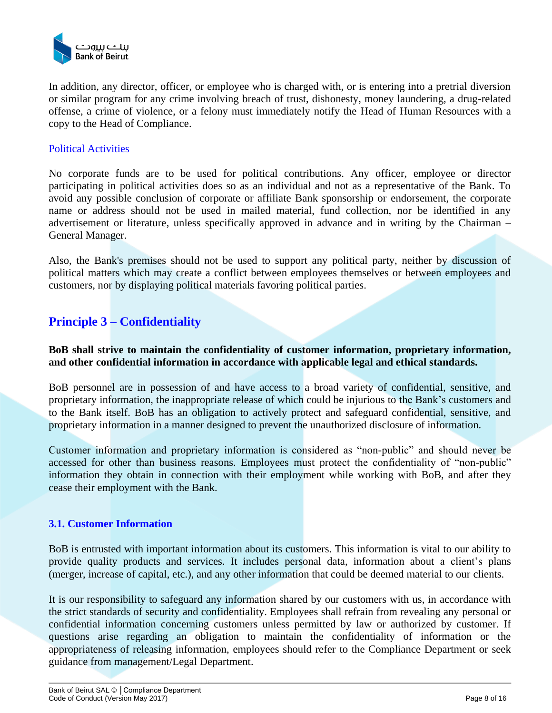

In addition, any director, officer, or employee who is charged with, or is entering into a pretrial diversion or similar program for any crime involving breach of trust, dishonesty, money laundering, a drug-related offense, a crime of violence, or a felony must immediately notify the Head of Human Resources with a copy to the Head of Compliance.

## Political Activities

No corporate funds are to be used for political contributions. Any officer, employee or director participating in political activities does so as an individual and not as a representative of the Bank. To avoid any possible conclusion of corporate or affiliate Bank sponsorship or endorsement, the corporate name or address should not be used in mailed material, fund collection, nor be identified in any advertisement or literature, unless specifically approved in advance and in writing by the Chairman – General Manager.

Also, the Bank's premises should not be used to support any political party, neither by discussion of political matters which may create a conflict between employees themselves or between employees and customers, nor by displaying political materials favoring political parties.

# <span id="page-7-0"></span>**Principle 3 – Confidentiality**

**BoB shall strive to maintain the confidentiality of customer information, proprietary information, and other confidential information in accordance with applicable legal and ethical standards.**

BoB personnel are in possession of and have access to a broad variety of confidential, sensitive, and proprietary information, the inappropriate release of which could be injurious to the Bank's customers and to the Bank itself. BoB has an obligation to actively protect and safeguard confidential, sensitive, and proprietary information in a manner designed to prevent the unauthorized disclosure of information.

Customer information and proprietary information is considered as "non-public" and should never be accessed for other than business reasons. Employees must protect the confidentiality of "non-public" information they obtain in connection with their employment while working with BoB, and after they cease their employment with the Bank.

## <span id="page-7-1"></span>**3.1. Customer Information**

BoB is entrusted with important information about its customers. This information is vital to our ability to provide quality products and services. It includes personal data, information about a client's plans (merger, increase of capital, etc.), and any other information that could be deemed material to our clients.

It is our responsibility to safeguard any information shared by our customers with us, in accordance with the strict standards of security and confidentiality. Employees shall refrain from revealing any personal or confidential information concerning customers unless permitted by law or authorized by customer. If questions arise regarding an obligation to maintain the confidentiality of information or the appropriateness of releasing information, employees should refer to the Compliance Department or seek guidance from management/Legal Department.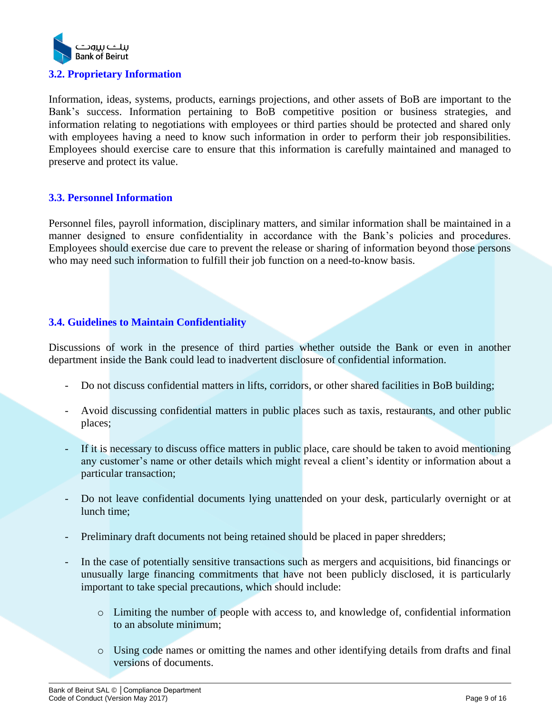

# <span id="page-8-0"></span>Information, ideas, systems, products, earnings projections, and other assets of BoB are important to the Bank's success. Information pertaining to BoB competitive position or business strategies, and information relating to negotiations with employees or third parties should be protected and shared only with employees having a need to know such information in order to perform their job responsibilities. Employees should exercise care to ensure that this information is carefully maintained and managed to preserve and protect its value.

# <span id="page-8-1"></span>**3.3. Personnel Information**

Personnel files, payroll information, disciplinary matters, and similar information shall be maintained in a manner designed to ensure confidentiality in accordance with the Bank's policies and procedures. Employees should exercise due care to prevent the release or sharing of information beyond those persons who may need such information to fulfill their job function on a need-to-know basis.

# <span id="page-8-2"></span>**3.4. Guidelines to Maintain Confidentiality**

Discussions of work in the presence of third parties whether outside the Bank or even in another department inside the Bank could lead to inadvertent disclosure of confidential information.

- Do not discuss confidential matters in lifts, corridors, or other shared facilities in BoB building;
- Avoid discussing confidential matters in public places such as taxis, restaurants, and other public places;
- If it is necessary to discuss office matters in public place, care should be taken to avoid mentioning any customer's name or other details which might reveal a client's identity or information about a particular transaction;
- Do not leave confidential documents lying unattended on your desk, particularly overnight or at lunch time;
- Preliminary draft documents not being retained should be placed in paper shredders;
- In the case of potentially sensitive transactions such as mergers and acquisitions, bid financings or unusually large financing commitments that have not been publicly disclosed, it is particularly important to take special precautions, which should include:
	- o Limiting the number of people with access to, and knowledge of, confidential information to an absolute minimum;
	- o Using code names or omitting the names and other identifying details from drafts and final versions of documents.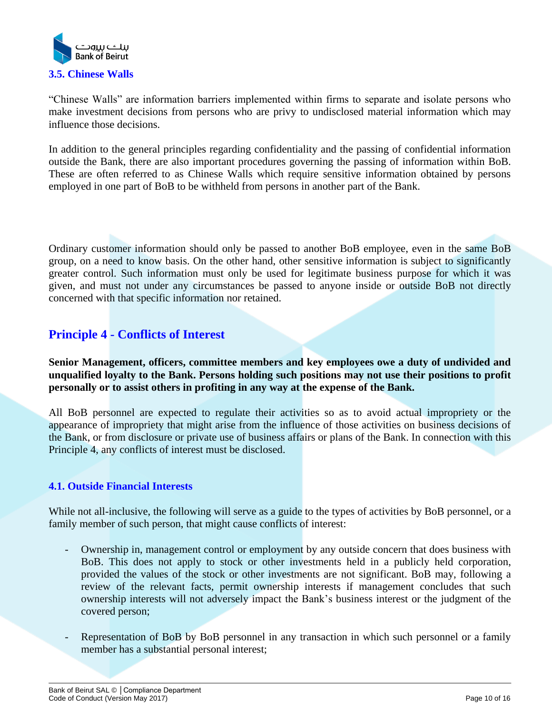

<span id="page-9-0"></span>"Chinese Walls" are information barriers implemented within firms to separate and isolate persons who make investment decisions from persons who are privy to undisclosed material information which may influence those decisions.

In addition to the general principles regarding confidentiality and the passing of confidential information outside the Bank, there are also important procedures governing the passing of information within BoB. These are often referred to as Chinese Walls which require sensitive information obtained by persons employed in one part of BoB to be withheld from persons in another part of the Bank.

Ordinary customer information should only be passed to another BoB employee, even in the same BoB group, on a need to know basis. On the other hand, other sensitive information is subject to significantly greater control. Such information must only be used for legitimate business purpose for which it was given, and must not under any circumstances be passed to anyone inside or outside BoB not directly concerned with that specific information nor retained.

# <span id="page-9-1"></span>**Principle 4 - Conflicts of Interest**

**Senior Management, officers, committee members and key employees owe a duty of undivided and unqualified loyalty to the Bank. Persons holding such positions may not use their positions to profit personally or to assist others in profiting in any way at the expense of the Bank.** 

All BoB personnel are expected to regulate their activities so as to avoid actual impropriety or the appearance of impropriety that might arise from the influence of those activities on business decisions of the Bank, or from disclosure or private use of business affairs or plans of the Bank. In connection with this Principle 4, any conflicts of interest must be disclosed.

## <span id="page-9-2"></span>**4.1. Outside Financial Interests**

While not all-inclusive, the following will serve as a guide to the types of activities by BoB personnel, or a family member of such person, that might cause conflicts of interest:

- Ownership in, management control or employment by any outside concern that does business with BoB. This does not apply to stock or other investments held in a publicly held corporation, provided the values of the stock or other investments are not significant. BoB may, following a review of the relevant facts, permit ownership interests if management concludes that such ownership interests will not adversely impact the Bank's business interest or the judgment of the covered person;
- Representation of BoB by BoB personnel in any transaction in which such personnel or a family member has a substantial personal interest;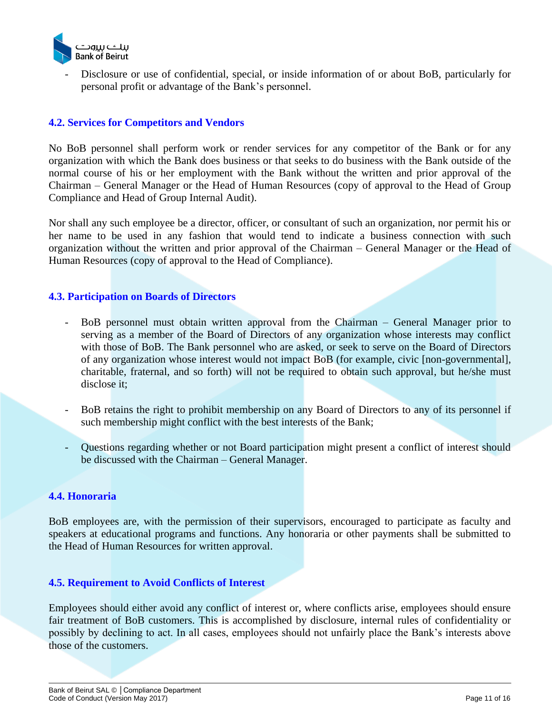

- Disclosure or use of confidential, special, or inside information of or about BoB, particularly for personal profit or advantage of the Bank's personnel.

# <span id="page-10-0"></span>**4.2. Services for Competitors and Vendors**

No BoB personnel shall perform work or render services for any competitor of the Bank or for any organization with which the Bank does business or that seeks to do business with the Bank outside of the normal course of his or her employment with the Bank without the written and prior approval of the Chairman – General Manager or the Head of Human Resources (copy of approval to the Head of Group Compliance and Head of Group Internal Audit).

Nor shall any such employee be a director, officer, or consultant of such an organization, nor permit his or her name to be used in any fashion that would tend to indicate a business connection with such organization without the written and prior approval of the Chairman – General Manager or the Head of Human Resources (copy of approval to the Head of Compliance).

## <span id="page-10-1"></span>**4.3. Participation on Boards of Directors**

- BoB personnel must obtain written approval from the Chairman General Manager prior to serving as a member of the Board of Directors of any organization whose interests may conflict with those of BoB. The Bank personnel who are asked, or seek to serve on the Board of Directors of any organization whose interest would not impact BoB (for example, civic [non-governmental], charitable, fraternal, and so forth) will not be required to obtain such approval, but he/she must disclose it;
- BoB retains the right to prohibit membership on any Board of Directors to any of its personnel if such membership might conflict with the best interests of the Bank;
- Questions regarding whether or not Board participation might present a conflict of interest should be discussed with the Chairman – General Manager.

## <span id="page-10-2"></span>**4.4. Honoraria**

BoB employees are, with the permission of their supervisors, encouraged to participate as faculty and speakers at educational programs and functions. Any honoraria or other payments shall be submitted to the Head of Human Resources for written approval.

## <span id="page-10-3"></span>**4.5. Requirement to Avoid Conflicts of Interest**

Employees should either avoid any conflict of interest or, where conflicts arise, employees should ensure fair treatment of BoB customers. This is accomplished by disclosure, internal rules of confidentiality or possibly by declining to act. In all cases, employees should not unfairly place the Bank's interests above those of the customers.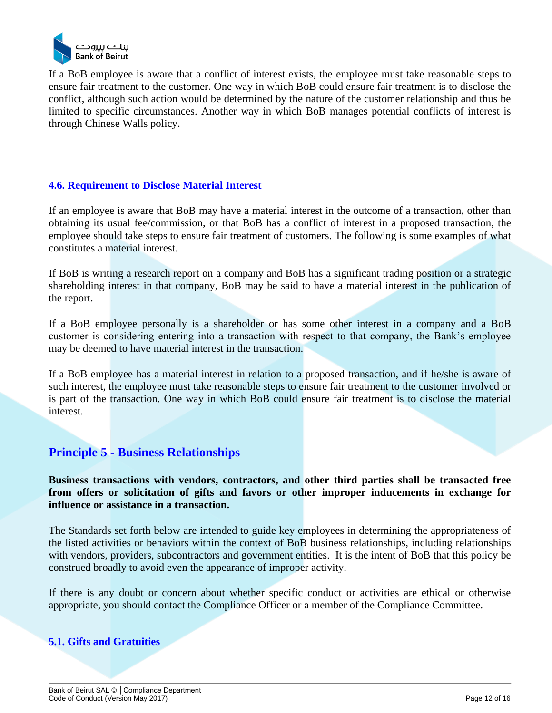

If a BoB employee is aware that a conflict of interest exists, the employee must take reasonable steps to ensure fair treatment to the customer. One way in which BoB could ensure fair treatment is to disclose the conflict, although such action would be determined by the nature of the customer relationship and thus be limited to specific circumstances. Another way in which BoB manages potential conflicts of interest is through Chinese Walls policy.

# <span id="page-11-0"></span>**4.6. Requirement to Disclose Material Interest**

If an employee is aware that BoB may have a material interest in the outcome of a transaction, other than obtaining its usual fee/commission, or that BoB has a conflict of interest in a proposed transaction, the employee should take steps to ensure fair treatment of customers. The following is some examples of what constitutes a material interest.

If BoB is writing a research report on a company and BoB has a significant trading position or a strategic shareholding interest in that company, BoB may be said to have a material interest in the publication of the report.

If a BoB employee personally is a shareholder or has some other interest in a company and a BoB customer is considering entering into a transaction with respect to that company, the Bank's employee may be deemed to have material interest in the transaction.

If a BoB employee has a material interest in relation to a proposed transaction, and if he/she is aware of such interest, the employee must take reasonable steps to ensure fair treatment to the customer involved or is part of the transaction. One way in which BoB could ensure fair treatment is to disclose the material interest.

# <span id="page-11-1"></span>**Principle 5 - Business Relationships**

**Business transactions with vendors, contractors, and other third parties shall be transacted free from offers or solicitation of gifts and favors or other improper inducements in exchange for influence or assistance in a transaction.**

The Standards set forth below are intended to guide key employees in determining the appropriateness of the listed activities or behaviors within the context of BoB business relationships, including relationships with vendors, providers, subcontractors and government entities. It is the intent of BoB that this policy be construed broadly to avoid even the appearance of improper activity.

If there is any doubt or concern about whether specific conduct or activities are ethical or otherwise appropriate, you should contact the Compliance Officer or a member of the Compliance Committee.

# <span id="page-11-2"></span>**5.1. Gifts and Gratuities**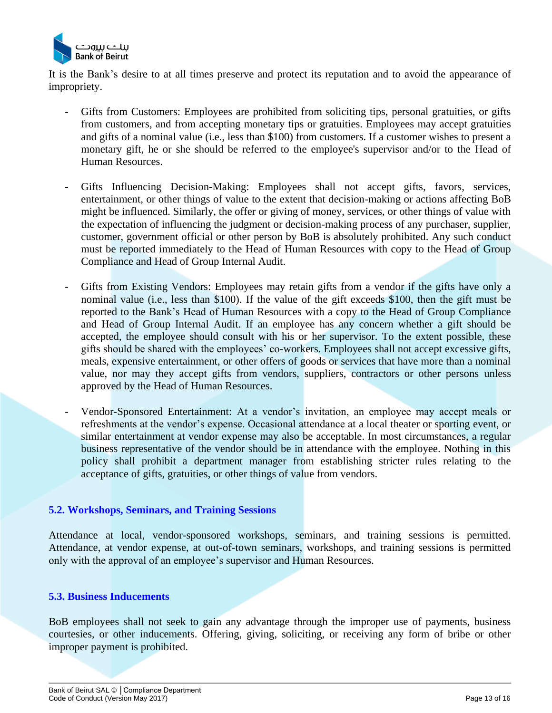

It is the Bank's desire to at all times preserve and protect its reputation and to avoid the appearance of impropriety.

- Gifts from Customers: Employees are prohibited from soliciting tips, personal gratuities, or gifts from customers, and from accepting monetary tips or gratuities. Employees may accept gratuities and gifts of a nominal value (i.e., less than \$100) from customers. If a customer wishes to present a monetary gift, he or she should be referred to the employee's supervisor and/or to the Head of Human Resources.
- Gifts Influencing Decision-Making: Employees shall not accept gifts, favors, services, entertainment, or other things of value to the extent that decision-making or actions affecting BoB might be influenced. Similarly, the offer or giving of money, services, or other things of value with the expectation of influencing the judgment or decision-making process of any purchaser, supplier, customer, government official or other person by BoB is absolutely prohibited. Any such conduct must be reported immediately to the Head of Human Resources with copy to the Head of Group Compliance and Head of Group Internal Audit.
- Gifts from Existing Vendors: Employees may retain gifts from a vendor if the gifts have only a nominal value (i.e., less than \$100). If the value of the gift exceeds \$100, then the gift must be reported to the Bank's Head of Human Resources with a copy to the Head of Group Compliance and Head of Group Internal Audit. If an employee has any concern whether a gift should be accepted, the employee should consult with his or her supervisor. To the extent possible, these gifts should be shared with the employees' co-workers. Employees shall not accept excessive gifts, meals, expensive entertainment, or other offers of goods or services that have more than a nominal value, nor may they accept gifts from vendors, suppliers, contractors or other persons unless approved by the Head of Human Resources.
- Vendor-Sponsored Entertainment: At a vendor's invitation, an employee may accept meals or refreshments at the vendor's expense. Occasional attendance at a local theater or sporting event, or similar entertainment at vendor expense may also be acceptable. In most circumstances, a regular business representative of the vendor should be in attendance with the employee. Nothing in this policy shall prohibit a department manager from establishing stricter rules relating to the acceptance of gifts, gratuities, or other things of value from vendors.

## <span id="page-12-0"></span>**5.2. Workshops, Seminars, and Training Sessions**

Attendance at local, vendor-sponsored workshops, seminars, and training sessions is permitted. Attendance, at vendor expense, at out-of-town seminars, workshops, and training sessions is permitted only with the approval of an employee's supervisor and Human Resources.

#### <span id="page-12-1"></span>**5.3. Business Inducements**

BoB employees shall not seek to gain any advantage through the improper use of payments, business courtesies, or other inducements. Offering, giving, soliciting, or receiving any form of bribe or other improper payment is prohibited.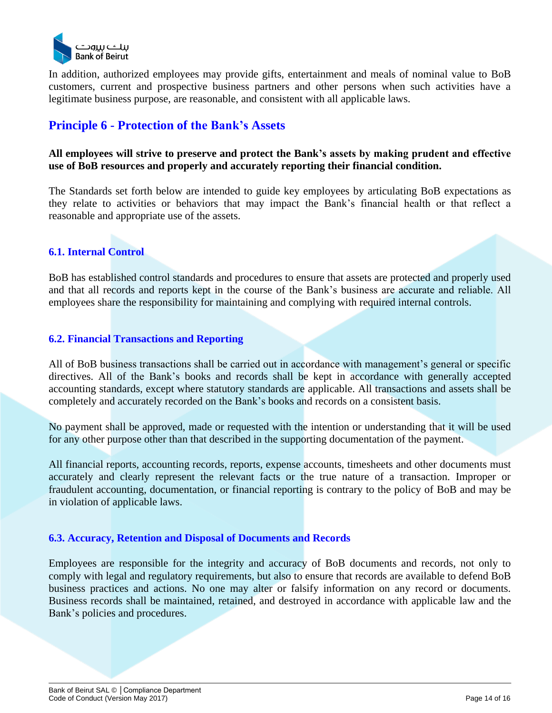

In addition, authorized employees may provide gifts, entertainment and meals of nominal value to BoB customers, current and prospective business partners and other persons when such activities have a legitimate business purpose, are reasonable, and consistent with all applicable laws.

# <span id="page-13-0"></span>**Principle 6 - Protection of the Bank's Assets**

# **All employees will strive to preserve and protect the Bank's assets by making prudent and effective use of BoB resources and properly and accurately reporting their financial condition.**

The Standards set forth below are intended to guide key employees by articulating BoB expectations as they relate to activities or behaviors that may impact the Bank's financial health or that reflect a reasonable and appropriate use of the assets.

# <span id="page-13-1"></span>**6.1. Internal Control**

BoB has established control standards and procedures to ensure that assets are protected and properly used and that all records and reports kept in the course of the Bank's business are accurate and reliable. All employees share the responsibility for maintaining and complying with required internal controls.

# <span id="page-13-2"></span>**6.2. Financial Transactions and Reporting**

All of BoB business transactions shall be carried out in accordance with management's general or specific directives. All of the Bank's books and records shall be kept in accordance with generally accepted accounting standards, except where statutory standards are applicable. All transactions and assets shall be completely and accurately recorded on the Bank's books and records on a consistent basis.

No payment shall be approved, made or requested with the intention or understanding that it will be used for any other purpose other than that described in the supporting documentation of the payment.

All financial reports, accounting records, reports, expense accounts, timesheets and other documents must accurately and clearly represent the relevant facts or the true nature of a transaction. Improper or fraudulent accounting, documentation, or financial reporting is contrary to the policy of BoB and may be in violation of applicable laws.

## <span id="page-13-3"></span>**6.3. Accuracy, Retention and Disposal of Documents and Records**

Employees are responsible for the integrity and accuracy of BoB documents and records, not only to comply with legal and regulatory requirements, but also to ensure that records are available to defend BoB business practices and actions. No one may alter or falsify information on any record or documents. Business records shall be maintained, retained, and destroyed in accordance with applicable law and the Bank's policies and procedures.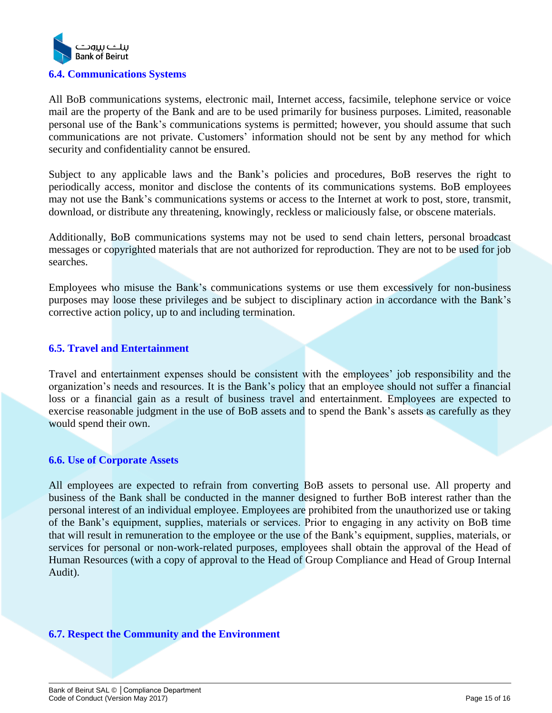

<span id="page-14-0"></span>All BoB communications systems, electronic mail, Internet access, facsimile, telephone service or voice mail are the property of the Bank and are to be used primarily for business purposes. Limited, reasonable personal use of the Bank's communications systems is permitted; however, you should assume that such communications are not private. Customers' information should not be sent by any method for which security and confidentiality cannot be ensured.

Subject to any applicable laws and the Bank's policies and procedures, BoB reserves the right to periodically access, monitor and disclose the contents of its communications systems. BoB employees may not use the Bank's communications systems or access to the Internet at work to post, store, transmit, download, or distribute any threatening, knowingly, reckless or maliciously false, or obscene materials.

Additionally, BoB communications systems may not be used to send chain letters, personal broadcast messages or copyrighted materials that are not authorized for reproduction. They are not to be used for job searches.

Employees who misuse the Bank's communications systems or use them excessively for non-business purposes may loose these privileges and be subject to disciplinary action in accordance with the Bank's corrective action policy, up to and including termination.

## <span id="page-14-1"></span>**6.5. Travel and Entertainment**

Travel and entertainment expenses should be consistent with the employees' job responsibility and the organization's needs and resources. It is the Bank's policy that an employee should not suffer a financial loss or a financial gain as a result of business travel and entertainment. Employees are expected to exercise reasonable judgment in the use of BoB assets and to spend the Bank's assets as carefully as they would spend their own.

## <span id="page-14-2"></span>**6.6. Use of Corporate Assets**

All employees are expected to refrain from converting BoB assets to personal use. All property and business of the Bank shall be conducted in the manner designed to further BoB interest rather than the personal interest of an individual employee. Employees are prohibited from the unauthorized use or taking of the Bank's equipment, supplies, materials or services. Prior to engaging in any activity on BoB time that will result in remuneration to the employee or the use of the Bank's equipment, supplies, materials, or services for personal or non-work-related purposes, employees shall obtain the approval of the Head of Human Resources (with a copy of approval to the Head of Group Compliance and Head of Group Internal Audit).

## <span id="page-14-3"></span>**6.7. Respect the Community and the Environment**